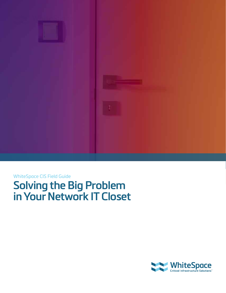

### WhiteSpace CIS Field Guide

**Solving the Big Problem in Your Network IT Closet**

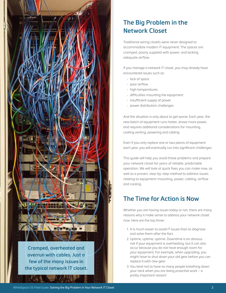

**overrun with cables. Just a few of the many issues in the typical network IT closet.**

## **The Big Problem in the Network Closet**

Traditional wiring closets were never designed to accommodate modern IT equipment. The spaces are cramped, poorly supplied with power, and lacking adequate airflow.

If you manage a network IT closet, you may already have encountered issues such as:

- lack of space
- poor airflow
- high temperatures
- difficulties mounting the equipment
- insufficient supply of power
- power distribution challenges.

And the situation is only about to get worse. Each year, the new batch of equipment runs hotter, draws more power, and requires additional considerations for mounting, cooling venting, powering and cabling.

Even if you only replace one or two pieces of equipment each year, you will eventually run into significant challenges.

This guide will help you avoid these problems and prepare your network closet for years of reliable, predictable operation. We will look at quick fixes you can make now, as well as a proven, step-by-step method to address issues relating to equipment-mounting, power, cabling, airflow and cooling.

## **The Time for Action is Now**

Whether you are having issues today or not, there are many reasons why it make sense to address your network closet now. Here are the top three:

- 1. It is much easier to avoid IT issues than to diagnose and solve them after the fact.
- 2. Uptime, uptime, uptime. Downtime is an obvious risk if your equipment is overheating, but it can also occur because you do not have enough room for your equipment. For example, when upgrading, you might have to shut down your old gear before you can replace it with new gear.
- 3. You tend not to have as many people breathing down your neck when you are doing proactive work – a pretty important reason!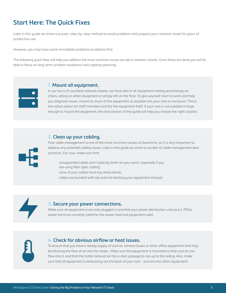## **Start Here: The Quick Fixes**

Later in this guide we share a proven, step-by-step method to avoid problems and prepare your network closet for years of productive use.

However, you may have some immediate problems to address first.

The following quick fixes will help you address the most common issues we see in network closets. Once these are done you will be able to focus on long-term problem avoidance and capacity planning.



#### **1. Mount all equipment.**

In our tours of countless network closets, we have seen it all: equipment resting precariously on chairs, sitting on other equipment or simply left on the floor. To give yourself room to work and help you diagnose issues, mount as much of the equipment as possible into your rack or enclosure. This is the safest option for staff members and for the equipment itself. If your rack is not suitable or large enough to mount the equipment, the next section of this guide will help you choose the right solution.

### **2. Clean up your cabling.**

Poor cable management is one of the most common causes of downtime, so it is very important to address any potential cabling issues. Later in this guide we share a number of cable management best practices. For now, make sure that:

- unsupported cables aren't placing strain on your ports, especially if you are using fiber optic cabling
- none of your cables have any sharp bends
- cables are bundled with ties and not blocking your equipment exhaust.



### **3. Secure your power connections.**

Make sure all equipment is securely plugged in and that your power distribution units (a.k.a. PDUs, power bars) are correctly rated for the power load and equipment used.

#### **4. Check for obvious airflow or heat issues.**

To ensure that you have a steady supply of cool air, remove boxes or other office equipment that may be blocking the flow of air into the closet. Make sure the equipment is mounted so that cool air can flow into it, and that the hotter exhaust air has a clear passage to rise up to the ceiling. Also, make sure that all equipment is exhausting out the back of your rack - and not into other equipment!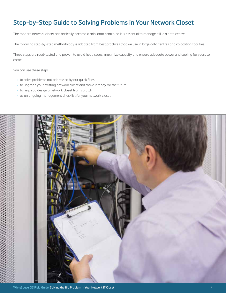## **Step-by-Step Guide to Solving Problems in Your Network Closet**

The modern network closet has basically become a mini data centre, so it is essential to manage it like a data centre.

The following step-by-step methodology is adapted from best practices that we use in large data centres and colocation facilities.

These steps are road-tested and proven to avoid heat issues, maximize capacity and ensure adequate power and cooling for years to come.

You can use these steps:

- to solve problems not addressed by our quick fixes
- to upgrade your existing network closet and make it ready for the future
- to help you design a network closet from scratch
- as an ongoing management checklist for your network closet.

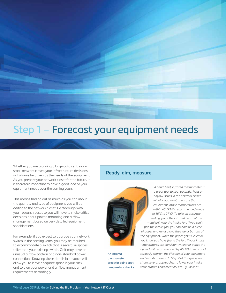

## Step 1 – Forecast your equipment needs

Whether you are planning a large data centre or a small network closet, your infrastructure decisions will always be driven by the needs of the equipment. As you prepare your network closet for the future, it is therefore important to have a good idea of your equipment needs over the coming years.

This means finding out as much as you can about the quantity and type of equipment you will be adding to the network closet. Be thorough with your research because you will have to make critical decisions about power, mounting and airflow management based on very detailed equipment specifications.

For example, if you expect to upgrade your network switch in the coming years, you may be required to accommodate a switch that is several u-spaces taller than your existing switch. Or it may have an unusual airflow pattern or a non-standard power connection. Knowing these details in advance will allow you to leave adequate space in your rack and to plan your power and airflow management requirements accordingly.

#### **Ready, aim, measure.**



**An infrared thermometer: great for doing spot temperature checks.**

*A hand-held, infrared thermometer is a great tool to spot potential heat or airflow issues in the network closet. Initially, you want to ensure that equipment intake temperatures are within ASHRAE's recommended range of 18˚C to 27˚C1. To take an accurate reading, point the infrared beam at the metal grill near the intake fan. If you can't find the intake fan, you can hold up a piece of paper and run it along the side or bottom of the equipment. When the paper gets sucked in, you know you have found the fan. If your intake temperatures are consistently near or above the upper limit recommended by ASHRAE, you could seriously shorten the lifespan of your equipment and risk shutdowns. In Step 7 of this guide, we share several approaches to lower your intake temperatures and meet ASHRAE guidelines.*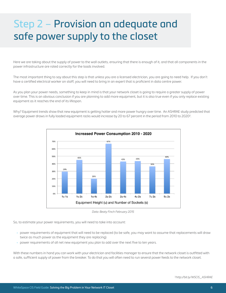# Step 2 – Provision an adequate and safe power supply to the closet

Here we are taking about the supply of power to the wall outlets, ensuring that there is enough of it, and that all components in the power infrastructure are rated correctly for the loads involved.

The most important thing to say about this step is that unless you are a licensed electrician, you are going to need help. If you don't have a certified electrical worker on staff, you will need to bring in an expert that is proficient in data centre power.

As you plan your power needs, something to keep in mind is that your network closet is going to require a greater supply of power over time. This is an obvious conclusion if you are planning to add more equipment, but it is also true even if you only replace existing equipment as it reaches the end of its lifespan.

Why? Equipment trends show that new equipment is getting hotter and more power hungry over time. An ASHRAE study predicted that average power draws in fully loaded equipment racks would increase by 20 to 67 percent in the period from 2010 to 20202.



*Data: Beaty Finch February 2015*

So, to estimate your power requirements, you will need to take into account:

- power requirements of equipment that will need to be replaced (to be safe, you may want to assume that replacements will draw twice as much power as the equipment they are replacing)
- power requirements of all net new equipment you plan to add over the next five to ten years.

With these numbers in hand you can work with your electrician and facilities manager to ensure that the network closet is outfitted with a safe, sufficient supply of power from the breaker. To do that you will often need to run several power feeds to the network closet.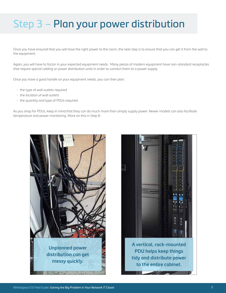# Step 3 – Plan your power distribution

Once you have ensured that you will have the right power to the room, the next step is to ensure that you can get it from the wall to the equipment.

Again, you will have to factor in your expected equipment needs. Many pieces of modern equipment have non-standard receptacles that require special cabling or power distribution units in order to connect them to a power supply.

Once you have a good handle on your equipment needs, you can then plan:

- the type of wall outlets required
- the location of wall outlets
- the quantity and type of PDUs required.

As you shop for PDUs, keep in mind that they can do much more than simply supply power. Newer models can also facilitate temperature and power monitoring. More on this in Step 8.



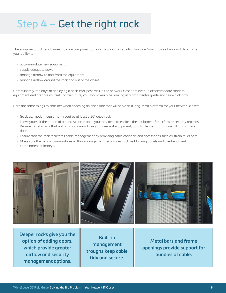# Step 4 – Get the right rack

The equipment rack (enclosure) is a core component of your network closet infrastructure. Your choice of rack will determine your ability to:

- accommodate new equipment
- supply adequate power
- manage airflow to and from the equipment
- manage airflow around the rack and out of the closet.

Unfortunately, the days of deploying a basic two-post rack in the network closet are over. To accommodate modern equipment and prepare yourself for the future, you should really be looking at a data-centre grade enclosure platform.

Here are some things to consider when choosing an enclosure that will serve as a long-term platform for your network closet:

- Go deep: modern equipment requires at least a 36" deep rack.
- Leave yourself the option of a door. At some point you may need to enclose the equipment for airflow or security reasons. Be sure to get a rack that not only accommodates your deepest equipment, but also leaves room to install (and close) a door.
- Ensure that the rack facilitates cable management by providing cable channels and accessories such as strain relief bars.
- Make sure the rack accommodates airflow management techniques such as blanking panels and overhead heat containment chimneys.



**Deeper racks give you the option of adding doors, which provide greater airflow and security management options.**

**Built-in management troughs keep cable tidy and secure.**

**Metal bars and frame openings provide support for bundles of cable.**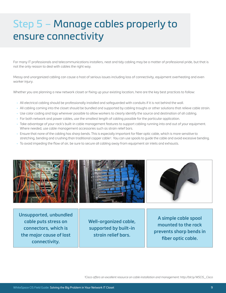# Step 5 – Manage cables properly to ensure connectivity

For many IT professionals and telecommunications installers, neat and tidy cabling may be a matter of professional pride, but that is not the only reason to deal with cables the right way.

Messy and unorganized cabling can cause a host of serious issues including loss of connectivity, equipment overheating and even worker injury.

Whether you are planning a new network closet or fixing up your existing location, here are the key best practices to follow:

- All electrical cabling should be professionally installed and safeguarded with conduits if it is not behind the wall.
- All cabling coming into the closet should be bundled and supported by cabling troughs or other solutions that relieve cable strain.
- Use color coding and tags wherever possible to allow workers to clearly identify the source and destination of all cabling.
- For both network and power cables, use the smallest length of cabling possible for the particular application.
- Take advantage of your rack's built-in cable management features to support cabling running into and out of your equipment. Where needed, use cable management accessories such as strain relief bars.
- Ensure that none of the cabling has sharp bends. This is especially important for fiber optic cable, which is more sensitive to stretching, bending and crushing than traditional copper cable*3*. You can use spools to guide the cable and avoid excessive bending.
- To avoid impeding the flow of air, be sure to secure all cabling away from equipment air inlets and exhausts.



**Unsupported, unbundled cable puts stress on connectors, which is the major cause of lost connectivity.**

**Well-organized cable, supported by built-in strain relief bars.** 

**A simple cable spool mounted to the rack prevents sharp bends in fiber optic cable.** 

*3Cisco offers an excellent resource on cable installation and management: http://bit.ly/WSCIS\_Cisco*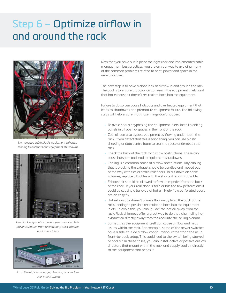# Step 6 – Optimize airflow in and around the rack



*Unmanaged cable blocks equipment exhaust, leading to hotspots and equipment shutdowns.*



*Use blanking panels to cover open u-spaces. This prevents hot air from recirculating back into the equipment inlets.* 



*An active airflow manager, directing cool air to a side-intake switch.*

Now that you have put in place the right rack and implemented cable management best practices, you are on your way to avoiding many of the common problems related to heat, power and space in the network closet.

The next step is to have a close look at airflow in and around the rack. The goal is to ensure that cool air can reach the equipment inlets, and that hot exhaust air doesn't recirculate back into the equipment.

Failure to do so can cause hotspots and overheated equipment that leads to shutdowns and premature equipment failure. The following steps will help ensure that those things don't happen:

- To avoid cool air bypassing the equipment inlets, install blanking panels in all open u-spaces in the front of the rack.
- Cool air can also bypass equipment by flowing underneath the rack. If you detect that this is happening, you can use plastic sheeting or data centre foam to seal the space underneath the rack.
- Check the back of the rack for airflow obstructions. These can cause hotspots and lead to equipment shutdowns.
- Cabling is a common cause of airflow obstructions. Any cabling that is blocking the exhaust should be bundled and moved out of the way with ties or strain relief bars. To cut down on cable volumes, replace all cables with the shortest lengths possible.
- Exhaust air should be allowed to flow unimpeded from the back of the rack. If your rear door is solid or has too few perforations it could be causing a build-up of hot air. High-flow perforated doors are an easy fix.
- Hot exhaust air doesn't always flow away from the back of the rack, leading to possible recirculation back into the equipment inlets. To avoid this, you can "guide" the hot air away from the rack. Rack chimneys offer a great way to do that, channeling hot exhaust air directly away from the rack into the ceiling plenum.
- Sometimes the equipment itself can cause airflow and heat issues within the rack. For example, some of the newer switches have a side-to-side airflow configuration, rather than the usual front-to-back setup. This could lead to the switch being starved of cool air. In these cases, you can install active or passive airflow directors that mount within the rack and supply cool air directly to the equipment that needs it.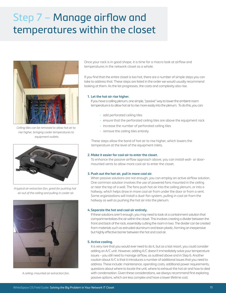# Step 7 – Manage airflow and temperatures within the closet



*Ceiling tiles can be removed to allow hot air to rise higher, bringing cooler temperatures to equipment outlets.*



*A typical air extraction fan, great for pushing hot air out of the ceiling and pulling in cooler air.* 



*A ceiling-mounted air extraction fan.* 

Once your rack is in good shape, it is time for a macro look at airflow and temperatures in the network closet as a whole.

If you find that the entire closet is too hot, there are a number of simple steps you can take to address that. These steps are listed in the order we would usually recommend looking at them. As the list progresses, the costs and complexity also rise.

#### **1. Let the hot air rise higher.**

If you have a ceiling plenum, one simple, "passive" way to lower the ambient room temperature is to allow hot air to rise more easily into the plenum. To do this, you can:

- add perforated ceiling tiles
- ensure that the perforated ceiling tiles are above the equipment rack
- increase the number of perforated ceiling tiles
- remove the ceiling tiles entirely

These steps allow the band of hot air to rise higher, which lowers the temperature at the level of the equipment inlets.

#### **2. Make it easier for cool air to enter the closet.**

To enhance the passive airflow approach above, you can install wall- or doormounted vents to allow more cool air to enter the closet.

#### **3. Push out the hot air, pull in more cool air.**

When passive solutions are not enough, you can employ an active airflow solution. One common solution involves the use of powered fans mounted in the ceiling or near the top of a wall. The fans push hot air into the ceiling plenum, or into a hallway, which helps draw in more cool air from under the door or from a vent. Some organizations will install a dual-fan system, pulling in cool air from the hallway as well as pushing the hot air into the plenum.

#### **4.Separate the hot and cool air entirely.**

If these solutions aren't enough, you may need to look at a containment solution that compartmentalizes the air within the closet. This involves creating a divider between the front and back of the rack, essentially cutting the room in two. The divider can be created from materials such as extruded aluminum and lexan plastic, forming an inexpensive but highly effective barrier between the hot and cool air.

#### **5.Active cooling.**

It is very rare that you would ever need to do it, but as a last resort, you could consider adding an A/C unit. However, adding A/C doesn't immediately solve your temperature issues – you still need to manage airflow, as outlined above and in Step 6. Another caution about A/C is that it introduces a number of additional issues that you need to address. These include: maintenance, operating costs, additional power requirements, questions about where to locate the unit, where to exhaust the hot air and how to deal with condensation. Given these considerations, we always recommend first exploring passive options, which are less complex and have a lower lifetime cost.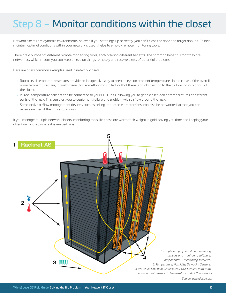# Step 8 – Monitor conditions within the closet

Network closets are dynamic environments, so even if you set things up perfectly, you can't close the door and forget about it. To help maintain optimal conditions within your network closet it helps to employ remote monitoring tools.

There are a number of different remote monitoring tools, each offering different benefits. The common benefit is that they are networked, which means you can keep an eye on things remotely and receive alerts of potential problems.

Here are a few common examples used in network closets:

- Room-level temperature sensors provide an inexpensive way to keep an eye on ambient temperatures in the closet. If the overall room temperature rises, it could mean that something has failed, or that there is an obstruction to the air flowing into or out of the closet.
- In-rack temperature sensors can be connected to your PDU units, allowing you to get a closer look at temperatures at different parts of the rack. This can alert you to equipment failure or a problem with airflow around the rack.
- Some active airflow management devices, such as ceiling-mounted extractor fans, can also be networked so that you can receive an alert if the fans stop running.

If you manage multiple network closets, monitoring tools like these are worth their weight in gold, saving you time and keeping your attention focused where it is needed most.